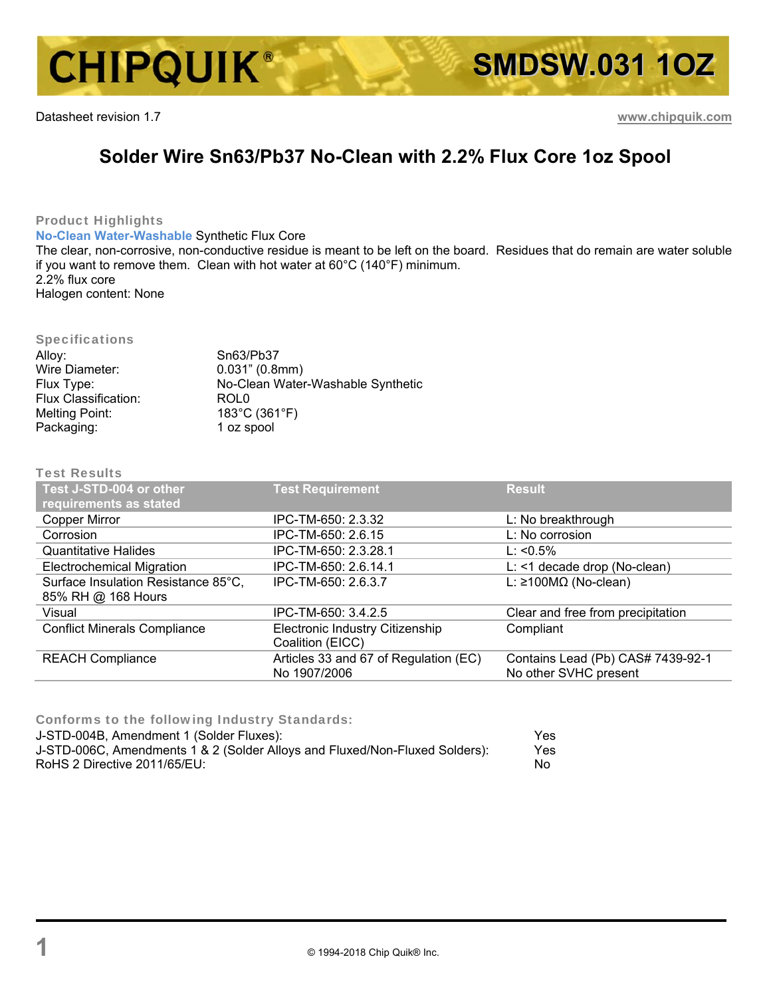

Datasheet revision 1.7 **www.chipquik.com**

## **Solder Wire Sn63/Pb37 No-Clean with 2.2% Flux Core 1oz Spool**

Product Highlights

**No-Clean Water-Washable** Synthetic Flux Core

The clear, non-corrosive, non-conductive residue is meant to be left on the board. Residues that do remain are water soluble if you want to remove them. Clean with hot water at 60°C (140°F) minimum. 2.2% flux core

Halogen content: None

## Specifications

| Alloy:                      | Sn63/Pb37                         |
|-----------------------------|-----------------------------------|
| Wire Diameter:              | 0.031" (0.8mm)                    |
| Flux Type:                  | No-Clean Water-Washable Synthetic |
| <b>Flux Classification:</b> | ROL <sub>0</sub>                  |
| Melting Point:              | 183°C (361°F)                     |
| Packaging:                  | 1 oz spool                        |

## Test Results

| Test J-STD-004 or other<br>requirements as stated | <b>Test Requirement</b>                               | <b>Result</b>                                              |
|---------------------------------------------------|-------------------------------------------------------|------------------------------------------------------------|
| <b>Copper Mirror</b>                              | IPC-TM-650: 2.3.32                                    | L: No breakthrough                                         |
| Corrosion                                         | IPC-TM-650: 2.6.15                                    | L: No corrosion                                            |
| <b>Quantitative Halides</b>                       | IPC-TM-650: 2.3.28.1                                  | $L: < 0.5\%$                                               |
| <b>Electrochemical Migration</b>                  | IPC-TM-650: 2.6.14.1                                  | L: <1 decade drop (No-clean)                               |
| Surface Insulation Resistance 85°C,               | IPC-TM-650: 2.6.3.7                                   | L: ≥100M $\Omega$ (No-clean)                               |
| 85% RH @ 168 Hours                                |                                                       |                                                            |
| Visual                                            | IPC-TM-650: 3.4.2.5                                   | Clear and free from precipitation                          |
| <b>Conflict Minerals Compliance</b>               | Electronic Industry Citizenship<br>Coalition (EICC)   | Compliant                                                  |
| <b>REACH Compliance</b>                           | Articles 33 and 67 of Regulation (EC)<br>No 1907/2006 | Contains Lead (Pb) CAS# 7439-92-1<br>No other SVHC present |

Conforms to the following Industry Standards:

| J-STD-004B, Amendment 1 (Solder Fluxes):                                    | Yes. |
|-----------------------------------------------------------------------------|------|
| J-STD-006C, Amendments 1 & 2 (Solder Alloys and Fluxed/Non-Fluxed Solders): | Yes. |
| RoHS 2 Directive 2011/65/EU:                                                | Nο   |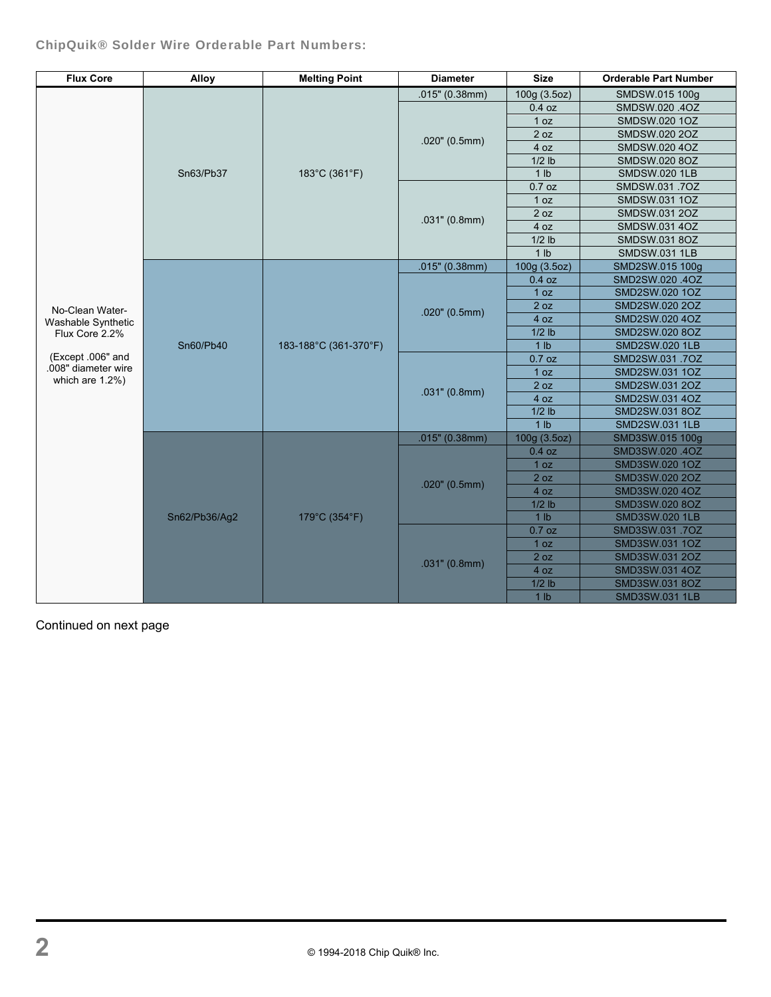ChipQuik® Solder Wire Orderable Part Numbers:

| <b>Flux Core</b>                       | <b>Alloy</b>  | <b>Melting Point</b>  | <b>Diameter</b>  | <b>Size</b>     | <b>Orderable Part Number</b> |
|----------------------------------------|---------------|-----------------------|------------------|-----------------|------------------------------|
|                                        |               | 183°C (361°F)         | .015" (0.38mm)   | 100g (3.5oz)    | SMDSW.015 100g               |
|                                        |               |                       |                  | 0.4 oz          | SMDSW.020.4OZ                |
|                                        |               |                       |                  | 1 oz            | SMDSW.020 1OZ                |
|                                        | Sn63/Pb37     |                       | $.020$ " (0.5mm) | 2 oz            | SMDSW.020 2OZ                |
|                                        |               |                       |                  | 4 oz            | SMDSW.020 4OZ                |
|                                        |               |                       |                  | $1/2$ lb        | SMDSW.020 8OZ                |
|                                        |               |                       |                  | 1 <sub>lb</sub> | <b>SMDSW.020 1LB</b>         |
|                                        |               |                       |                  | $0.7$ oz        | SMDSW.031.7OZ                |
|                                        |               |                       |                  | 1 oz            | SMDSW.031 1OZ                |
|                                        |               |                       | $.031$ " (0.8mm) | 2 oz            | SMDSW.031 2OZ                |
|                                        |               |                       |                  | 4 oz            | SMDSW.031 4OZ                |
|                                        |               |                       |                  | $1/2$ lb        | SMDSW.031 8OZ                |
|                                        |               |                       |                  | 1 <sub>lb</sub> | <b>SMDSW.031 1LB</b>         |
|                                        |               |                       | .015" (0.38mm)   | 100g (3.5oz)    | SMD2SW.015 100g              |
|                                        |               |                       |                  | 0.4 oz          | SMD2SW.020.4OZ               |
|                                        |               |                       |                  | 1 oz            | SMD2SW.020 1OZ               |
| No-Clean Water-                        |               |                       | $.020$ " (0.5mm) | 2 oz            | SMD2SW.020 2OZ               |
| Washable Synthetic                     |               |                       |                  | 4 oz            | SMD2SW.020 4OZ               |
| Flux Core 2.2%                         |               |                       |                  | $1/2$ lb        | SMD2SW.020 8OZ               |
|                                        | Sn60/Pb40     | 183-188°C (361-370°F) |                  | 1 <sub>lb</sub> | <b>SMD2SW.020 1LB</b>        |
| (Except .006" and                      |               |                       |                  | $0.7$ oz        | SMD2SW.031.7OZ               |
| .008" diameter wire<br>which are 1.2%) |               |                       | .031" (0.8mm)    | 1 oz            | SMD2SW.031 1OZ               |
|                                        |               |                       |                  | 2 oz            | SMD2SW.031 2OZ               |
|                                        |               |                       |                  | 4 oz            | SMD2SW.031 4OZ               |
|                                        |               |                       |                  | $1/2$ lb        | SMD2SW.031 8OZ               |
|                                        |               |                       |                  | 1 <sub>lb</sub> | <b>SMD2SW.031 1LB</b>        |
|                                        | Sn62/Pb36/Ag2 | 179°C (354°F)         | .015" (0.38mm)   | 100g (3.5oz)    | SMD3SW.015 100g              |
|                                        |               |                       | $.020$ " (0.5mm) | $0.4$ oz        | SMD3SW.020.4OZ               |
|                                        |               |                       |                  | 1 oz            | SMD3SW.020 1OZ               |
|                                        |               |                       |                  | 2 oz            | SMD3SW.020 2OZ               |
|                                        |               |                       |                  | 4 oz            | SMD3SW.020 4OZ               |
|                                        |               |                       |                  | $1/2$ lb        | SMD3SW.020 8OZ               |
|                                        |               |                       |                  | 1 <sub>lb</sub> | <b>SMD3SW.020 1LB</b>        |
|                                        |               |                       | $.031$ " (0.8mm) | $0.7$ oz        | SMD3SW.031.7OZ               |
|                                        |               |                       |                  | 1 oz            | SMD3SW.031 1OZ               |
|                                        |               |                       |                  | 2 oz            | SMD3SW.031 2OZ               |
|                                        |               |                       |                  | 4 oz            | SMD3SW.031 4OZ               |
|                                        |               |                       |                  | $1/2$ lb        | SMD3SW.031 8OZ               |
|                                        |               |                       |                  | 1 <sub>lb</sub> | <b>SMD3SW.031 1LB</b>        |

Continued on next page